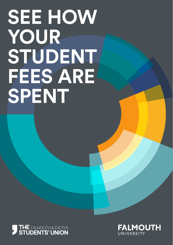# **SEE HOW F I N A N C E YOUR STUDENT FEES ARE SPENT**



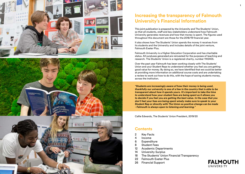



### **Increasing the transparency of Falmouth University's Financial Information**

 This joint publication is prepared by the University and The Students' Union, so that all students, staff and key stakeholders understand how Falmouth University generates revenues and how that money is spent. The figures used throughout this document are those for the 2018/19 financial year.

 Falmouth Exeter Plus. It also shows how The Students' Union spends the money it receives from its students and the University and includes details of the joint venture,

 status. All surpluses generated are reinvested for the purposes of teaching and Falmouth University is a Higher Education Corporation and has charitable research. The Students' Union is a registered charity, number 1145405.

Over the past year Falmouth has been working closely with The Students' Union and your Student Reps to understand whether you feel you are getting good value for money. By doing so, we have identified that we could be better at providing more information on additional course costs and are undertaking a review to work out how to do this, with the hope of saving students money, across the institution.

**"Students are increasingly aware of how their money is being used, thankfully our university is one of a few in the country that is able to be transparent about how it spends yours. It's important to take the time to understand how your student fees are being spent as it allows you to decide if you feel you are getting the best value. In the case that you don't feel your fees are being spent wisely make sure to speak to your Student Rep or directly with The Union so positive change can be made - Falmouth is always open to listening and learning."** 

Callie Edwards, The Students' Union President, 2019/20

#### **Contents**

- 2 Key Facts
- 4 Income
- 6 Expenditure
- 8 Student Fees
- 12 Academic Departments
- 14 University Surplus
- 18 The Students' Union Financial Transparency
- 22 Falmouth Exeter Plus
- 26 Financial Support

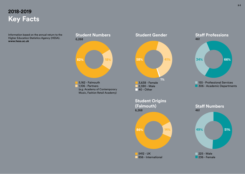## **2018-2019 Key Facts**

Higher Education Statistics Agency (HESA).<br>www.hesa.ac.uk

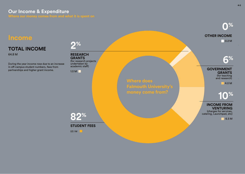

### **TOTAL INCOME**  64.8 M

During the year income rose due to an increase in off-campus student numbers, fees from partnerships and higher grant income.



**RESEARCH GRANTS**  (for research projects undertaken by academic staff) **2%**<br>RESEAL<br>GRANT<br>(for reseau<br>academic<br>1.0 M

**Where does Falmouth University's money come from?** 

 **GOVERNMENT GRANTS**   $\sum_{\text{MENT}}$ <br>ANTS<br>Beaching<br>Search)<br>4.0 M

 **OTHER INCOME** 

(for teaching and research)

**0%** 

 $\Box$  0.2 M

**10%** 

**INCOME FROM VENTURING**  (charges for services, catering, Launchpad, etc)

6.5 M

**STUDENT FEES**  53.1 M **82%**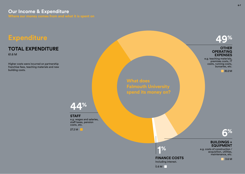## **Expenditure**

## **TOTAL EXPENDITURE**

61.6 M

Higher costs were incurred on partnership franchise fees, teaching materials and new building costs.



#### **STAFF**  e.g. wages and salaries, staff taxes, pension costs, etc.

27.2 M



#### **OTHER OPERATING EXPENSES**

e.g. teaching materials, premises costs, IT costs, running costs, bursaries, etc.

30.2 M

**What does Falmouth University spend its money on?** 



**FINANCE COSTS** , Including interest. .

 $0.6 M$ 

**1%** 



**BUILDINGS + EQUIPMENT** 

maintenance, etc. e.g. costs of construction / acquisition, utilities,

3.6 M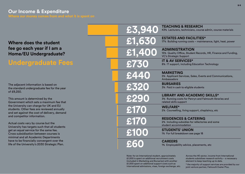### **Our Income & Expenditure**

## fee go each year if I am a **Home/EU Undergraduate?**

## **Undergraduate Fees**

| Where does the student<br>fee go each year if I am a<br><b>Home/EU Undergraduate?</b>                                                                                                                                                                                                                                                                                                                                                                                                                                                                                   | £3,940 | <b>TEACHING &amp; RESEARCH</b><br>43% Lecturers, technicians, course admin, course materials                            |
|-------------------------------------------------------------------------------------------------------------------------------------------------------------------------------------------------------------------------------------------------------------------------------------------------------------------------------------------------------------------------------------------------------------------------------------------------------------------------------------------------------------------------------------------------------------------------|--------|-------------------------------------------------------------------------------------------------------------------------|
|                                                                                                                                                                                                                                                                                                                                                                                                                                                                                                                                                                         | £1,630 | <b>ESTATES AND FACILITIES*</b><br>17% Building running costs - maintenance, light, heat, power                          |
|                                                                                                                                                                                                                                                                                                                                                                                                                                                                                                                                                                         | £1,400 | <b>ADMINISTRATION</b><br>15% Quality Office, Student Records, HR, Finance and Funding,<br><b>VC's Strategic Support</b> |
| <b>Undergraduate Fees</b>                                                                                                                                                                                                                                                                                                                                                                                                                                                                                                                                               | £730   | <b>IT &amp; AV SERVICES*</b><br>8% IT support, including Education Technology                                           |
|                                                                                                                                                                                                                                                                                                                                                                                                                                                                                                                                                                         | £440   | <b>MARKETING</b><br>5% Applicant Services, Sales, Events and Communications,<br>Ambassadors                             |
| The adjacent information is based on<br>the standard undergraduate fee for the year<br>of £9,250.                                                                                                                                                                                                                                                                                                                                                                                                                                                                       | £320   | <b>BURSARIES</b><br>3% Paid in cash to eligible students                                                                |
| This amount is determined by the<br>Government which sets a maximum fee that<br>the University can charge for UK and EU<br>students. Other fees are reviewed annually<br>and set against the cost of delivery, demand<br>and competitor information.<br>Actual costs vary by course but the<br>University has targets such that all students<br>get an equal service for the same fee.<br>Cross subsidisation between courses is<br>minimal and all Academic Departments<br>have to be financially convergent over the<br>life of the University's 2030 Strategic Plan. | £290   | <b>LIBRARY AND ACADEMIC SKILLS*</b><br>3% Running costs for Penryn and Falmouth libraries and<br>related skills support |
|                                                                                                                                                                                                                                                                                                                                                                                                                                                                                                                                                                         | £170   | <b>WELFARE*</b><br>2% Counselling, living support, chaplaincy, etc                                                      |
|                                                                                                                                                                                                                                                                                                                                                                                                                                                                                                                                                                         | £170   | <b>RESIDENCES &amp; CATERING</b><br>2% Including subsidies for refectories and some<br>student accommodation            |
|                                                                                                                                                                                                                                                                                                                                                                                                                                                                                                                                                                         | £100   | <b>STUDENTS' UNION</b><br>1% For full breakdown see page 18                                                             |
|                                                                                                                                                                                                                                                                                                                                                                                                                                                                                                                                                                         | £60    | <b>CAREERS</b><br>1% Employability advice, placements, etc                                                              |
|                                                                                                                                                                                                                                                                                                                                                                                                                                                                                                                                                                         |        |                                                                                                                         |

Note: for an International student, approximately £1,000 is spent on additional recruitment costs (included in Marketing and Bursaries) with another £1,000 spent on additional support costs such as international admissions, visas, foreign exchange, etc. Across the HE sector, income from International students subsidises research activity – a necessary element to keep teaching up to date.

\* the majority of support services are provided by our joint venture partner, Falmouth Exeter Plus.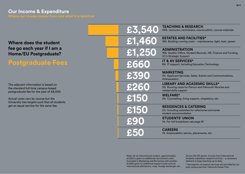### **Our Income & Expenditure**

## **Postgraduate Fees**

| Where does the student<br>fee go each year if I am a<br><b>Home/EU Postgraduate?</b>                                                                                                                                                                      | £3,540      | <b>TEACHING &amp; RESEARCH</b><br>44% Lecturers, technicians, course admin, course materials                            |
|-----------------------------------------------------------------------------------------------------------------------------------------------------------------------------------------------------------------------------------------------------------|-------------|-------------------------------------------------------------------------------------------------------------------------|
|                                                                                                                                                                                                                                                           | £1,460      | <b>ESTATES AND FACILITIES*</b><br>18% Building running costs - maintenance, light, heat, power                          |
|                                                                                                                                                                                                                                                           | £1,250      | <b>ADMINISTRATION</b><br>16% Quality Office, Student Records, HR, Finance and Funding,<br><b>VC's Strategic Support</b> |
| <b>Postgraduate Fees</b>                                                                                                                                                                                                                                  | <b>£660</b> | <b>IT &amp; AV SERVICES*</b><br>8% IT support, including Education Technology                                           |
|                                                                                                                                                                                                                                                           | £390        | <b>MARKETING</b><br>5% Applicant Services, Sales, Events and Communications,<br>Ambassadors                             |
| The adjacent information is based on<br>the standard full time campus-based<br>postgraduate fee for the year of £8,000.<br>Actual costs vary by course but the<br>University has targets such that all students<br>get an equal service for the same fee. | £260        | <b>LIBRARY AND ACADEMIC SKILLS*</b><br>3% Running costs for Penryn and Falmouth libraries and<br>related skills support |
|                                                                                                                                                                                                                                                           | £150        | <b>WELFARE*</b><br>2% Counselling, living support, chaplaincy, etc                                                      |
|                                                                                                                                                                                                                                                           | £150        | <b>RESIDENCES &amp; CATERING</b><br>2% Including subsidies for refectories and some<br>student accommodation            |
|                                                                                                                                                                                                                                                           | £90         | <b>STUDENTS' UNION</b><br>1% For full breakdown see page 18                                                             |
|                                                                                                                                                                                                                                                           |             | <b>CAREERS</b><br>1% Employability advice, placements, etc                                                              |

Note: for an International student, approximately Across the HE sector, income from International<br>
£1,000 is spent on additional recruitment costs students subsidises research activity – a necessa (included in Marketing and Bursaries) with another element to keep teaching up to date.<br>  $\text{£1,000}$  spent on additional support costs such as  $\text{++}$  the majerity of support services are

students subsidises research activity – a necessary

£1,000 spent on additional support costs such as \* the majority of support services are provided by our international admissions, visas, foreign exchange, etc. joint venture partner, Falmouth Exeter Plus.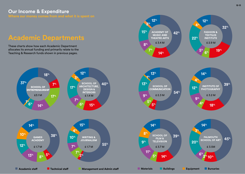## **Academic Departments**

These charts show how each Academic Departmen<mark>t</mark><br>allocates its annual funding and primarily relate to th<br>Teaching & Research funds shown in previous pages. allocates its annual funding and primarily relate to the Teaching & Research funds shown in previous pages.



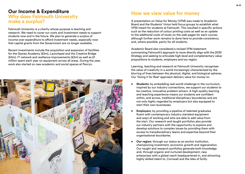### **Our Income & Expenditure Why does Falmouth University make a surplus?**

Falmouth University is a charity whose purpose is teaching and research. We need to cover our costs and investment needs to support students now and in the future. We plan to generate a surplus of income over expenditure to afford investment needs, especially now

that capital grants from the Government are no longer available.<br>Recent investments include the acquisition and expansion of faci Recent investments include the acquisition and expansion of facilities for the Games Academy (£2m), Launchpad and the Creative Bridge (£5m), IT network and resilience improvements (£2m) as well as £1 million spent each year on equipment across all areas. During the year, work also started on new academic and social spaces at Penryn.



### **How we view value for money**

A presentation on Value for Money (VFM) was made to Academic Board and the Students' Union held focus groups to establish what VFM meant for students at Falmouth. This resulted in specific actions such as the reduction of colour printing costs as well as an update to the additional costs of study on the web pages for each course; although further work remains to done here to provide consistency and, where possible, parity for all students.

Academic Board also considered a revised VFM statement summarising Falmouth's approach to more directly align with the 2030 Strategy and seeking to articulate high-level and complementary value propositions to students, employers and our region.

Learning, teaching and research at Falmouth University recognises the value of creativity in a world increasingly characterised by the blurring of lines between the physical, digital, and biological spheres. Our 'Doing it for Real' approach delivers value for money to:

- **Students**; by embedding real-world challenge in the curriculum, inspired by our industry connections, we support our students to be creative, innovative problem solvers. A high-quality learning and teaching experience means our students are confident within, and across, traditional disciplinary boundaries and are not only highly regarded by employers but also equipped to start their own businesses.
- **Employers**; by providing a pipeline of talented graduates fluent with contemporary industry standard equipment and ways of working and who are able to add value from the start. Our research and taught portfolios also provide our industry partners with the opportunity to explore and develop solutions to complex issues by providing them with access to transdisciplinary teams and expertise beyond their organisational boundaries.
- **Our region**; through our status as an anchor institution, championing investment, economic growth and regeneration. Our taught and research portfolios generate both knowledge and, through organic and nurtured development, new enterprises with a global reach headquartered in, and attracting highly skilled talent to, Cornwall and the Isles of Scilly.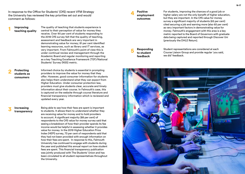In response to the Office for Students' (OfS) recent VFM Strategy the University has reviewed the key priorities set out and would comment as follows:

### **Improving<br>teaching quality**

The quality of teaching that students experience is central to their perception of value for money they receive. Over 90 per cent of students responding to the 2018 OfS survey felt that the quality of teaching, assessment and feedback are very important in demonstrating value for money; 81 per cent identifed learning resources, such as library and IT services, as very important. From Falmouth's point of view this is under continual review and management through the Academic Board and regular monitoring and reporting as a key Teaching Excellence Framework (TEF)/National Students' Survey (NSS) metric.

**2 Protecting students as consumers** 

Informed choice by students is essential in prompting providers to improve the value for money that they offer. However, good consumer information for students also helps them understand what they can expect from Higher Education. Under consumer protection law, providers must give students clear, accurate and timely information about their course. In Falmouth's case, this is captured on the website through course literature and fnancial transparency information which is reviewed and updated every year.

### **3 Increasing transparency**

Being able to see how their fees are spent is important to students. It allows them to understand whether they are receiving value for money and to hold providers to account. A signifcant majority (88 per cent) of respondents to the OfS value for money survey said that seeing a breakdown of how their provider spends its fee income would be helpful in assessing whether it provides value for money. In the 2019 Higher Education Price Index (HEPI) survey, 73 per cent of respondents said that they had not been provided with enough information on how their fees are spent. In response to this, Falmouth University has continued to engage with students during the year and published this annual report on how student fees are spent. This fnancial transparency publication was jointly produced with The Students' Union and has been circulated to all student representatives throughout the University.

#### **4 Positive employment outcomes**

For students, improving the chances of a good job or higher salary are not the only benefit of higher education, but they are important. In the OfS value for money survey a signifcant majority of students (65 per cent) cited securing a job and earning more (also 65 per cent) as very important factors in demonstrating value for money. Falmouth's engagement with this area is a key metric reported to the Board of Governors with graduate data being captured and reported through Discover Uni (previously the DHLE Return).

**5 Responding to student feedback** 

Student representations are considered at each Course Liaison Group and provide regular 'you said, we did' feedback.

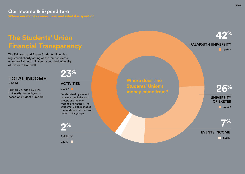## **The Students' Union Financial Transparency**

The Falmouth and Exeter Students' Union is a registered charity acting as the joint students' union for Falmouth University and the University of Exeter in Cornwall.

#### **TOTAL INCOME**  £ 1.3 M

 University funded grants Primarily funded by 68% based on student numbers.



#### **ACTIVITIES**

£308 K

Funds raised by student led clubs, societies and groups and income from the minibuses. The Students' Union manages the funds and accounts on behalf of its groups.

**OTHER**  £22 K **2%** 

**Where does The** 

**Students' Union's money come from?** 



**FALMOUTH UNIVERSITY** 



 $E$ 353 K

£574K

**42%** 

**EVENTS INCOME**   $\Box$  £92 K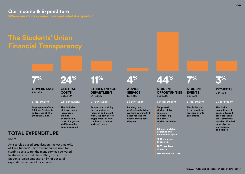## **The Students' Union Financial Transparency**



**2873 members of sports** 

**1164 members SLVPS**

As a service based organisation, the vast majority of The Students' Union expenditure is used for staffing costs to run the many services delivered to students. In total, the staffing costs of The Students' Union amount to 48% of our total expenditure across all its services.

£1.3M

\*£57,031 Allocated to reserve in case of emergency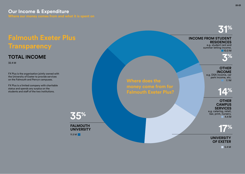## **Falmouth Exeter Plus Transparency**

### **TOTAL INCOME**

32.4 M

FX Plus is the organisation jointly owned with the University of Exeter to provide services on the Falmouth and Penryn campuses.

FX Plus is a limited company with charitable status and spends any surplus on the students and staff of the two institutions.

**31%** 

#### **INCOME FROM STUDENT RESIDENCES**

■ 10.0 M e.g. student rent and summer letting income.



**OTHER INCOME**  e.g. DSA income, car park income, etc. 1.1 M

**14%** 

**OTHER CAMPUS SERVICES**  e.g. catering, retail,

bar, print, nursery. 4.4 M



**UNIVERSITY OF EXETER** 

 $\Box$  5.4 M

**Where does the money come from for Falmouth Exeter Plus?** 

11.5 M **35% FALMOUTH UNIVERSITY**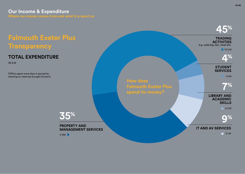## **Falmouth Exeter Plus Transparency**

### **TOTAL EXPENDITURE**

32.5 M

FXPlus spent more than it earned by drawing on reserves brought forward.



**35%** 

**PROPERTY AND MANAGEMENT SERVICES** 

11.3M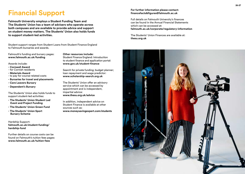## **Financial Support**

**Falmouth University employs a Student Funding Team and The Students' Union has a team of advisers who operate across both campuses and are available to provide advice and support on student money matters. The Students' Union also holds funds to support student-led activities.** 

Student support ranges from Student Loans from Student Finance England to Falmouth bursaries and awards.

Falmouth's funding and bursary pages: **[www.falmouth.ac.uk/funding](http://www.falmouth.ac.uk/funding)** 

Awards include:

- **Cornwall Award**
- for Cornish residents
- **Materials Award**
- to pay for course-related costs
- **Bursaries for travel and placements**
- **Care Leavers Bursary**
- **Dependent's Bursary**

The Students' Union also holds funds to support student-led activities:

- **The Students' Union Student Led Event and Project Funding**
- **The Students' Union Green Fund**
- **The Students' Union Sport Bursary Scheme**

Hardship Support: **[falmouth.ac.uk/student-funding/](https://www.falmouth.ac.uk/study/student-funding/hardship-fund)  hardship-fund** 

Further details on course costs can be found on Falmouth's tuition fees pages: **[www.falmouth.ac.uk/tuition-fees](http://www.falmouth.ac.uk/tuition-fees)** 

**Other resources include:**  Student Finance England: Introduction to student finance and application portal: **[www.gov.uk/student-finance](http://www.gov.uk/student-finance)** 

Search for private funding; budget planner; loan repayment and wage predictor: **[www.scholarship-search.org.uk](http://www.scholarship-search.org.uk)** 

The Students' Union offer an advisory service which can be accessed by appointment and is independent, impartial advice: **[www.thesu.org.uk/advice](http://www.thesu.org.uk/advice)** 

In addition, independent advice on Student Finance is available at other sources such as: **[www.moneysavingexpert.com/students](http://www.moneysavingexpert.com/students)** 

#### **For further information please contact: [financefacts&figures@falmouth.ac.uk](mailto:figures@falmouth.ac.uk)**

Full details on Falmouth University's finances can be found in the Annual Financial Statements which can be accessed at: **[falmouth.ac.uk/corporate/regulatory-information](https://www.falmouth.ac.uk/corporate/regulatory-information)** 

The Students' Union Finances are available at: **[thesu.org.uk](https://www.thesu.org.uk)** 

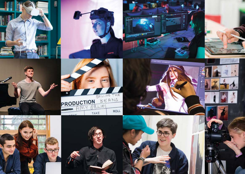